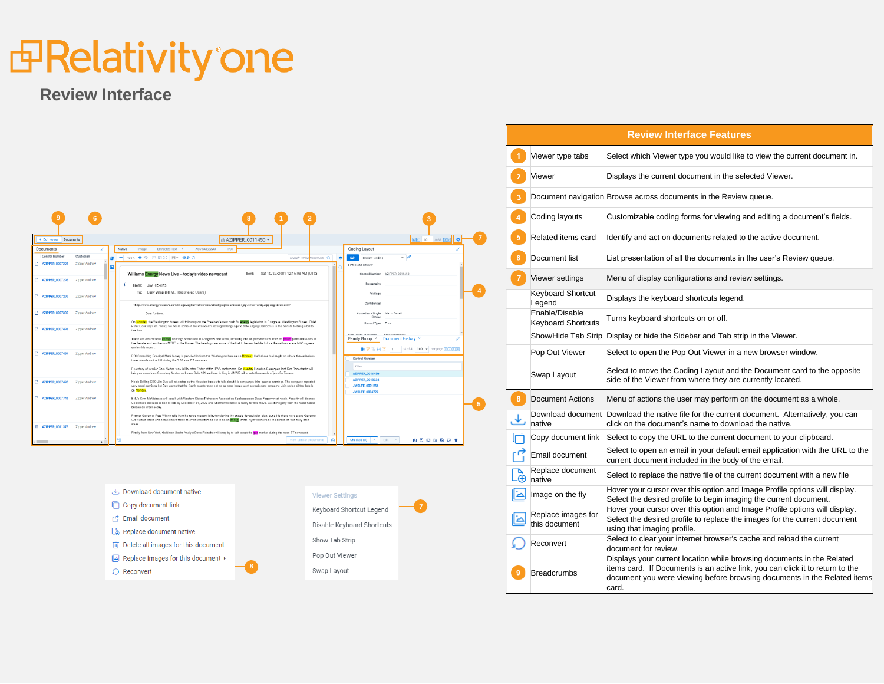### *d* Relativity one

#### **Review Interface**



| $\downarrow$ . Download document native                | <b>Viewer Settings</b>     |
|--------------------------------------------------------|----------------------------|
| Copy document link                                     | Keyboard Shortcut Legend   |
| <b>Email document</b>                                  |                            |
| Replace document native                                | Disable Keyboard Shortcuts |
| Delete all images for this document<br>mΤ              | Show Tab Strip             |
| Replace images for this document $\blacktriangleright$ | Pop Out Viewer             |
|                                                        | 8<br>Swap Layout           |
| Reconvert                                              |                            |

**7**

|                      |                                             | <b>Review Interface Features</b>                                                                                                                                                                                                             |
|----------------------|---------------------------------------------|----------------------------------------------------------------------------------------------------------------------------------------------------------------------------------------------------------------------------------------------|
| $\blacktriangleleft$ | Viewer type tabs                            | Select which Viewer type you would like to view the current document in.                                                                                                                                                                     |
| $\overline{2}$       | Viewer                                      | Displays the current document in the selected Viewer.                                                                                                                                                                                        |
| $\overline{3}$       |                                             | Document navigation Browse across documents in the Review queue.                                                                                                                                                                             |
| $\overline{4}$       | Coding layouts                              | Customizable coding forms for viewing and editing a document's fields.                                                                                                                                                                       |
| $\overline{5}$       | Related items card                          | Identify and act on documents related to the active document.                                                                                                                                                                                |
| 6 <sup>1</sup>       | Document list                               | List presentation of all the documents in the user's Review queue.                                                                                                                                                                           |
| $\overline{7}$       | Viewer settings                             | Menu of display configurations and review settings.                                                                                                                                                                                          |
|                      | <b>Keyboard Shortcut</b><br>Legend          | Displays the keyboard shortcuts legend.                                                                                                                                                                                                      |
|                      | Enable/Disable<br><b>Keyboard Shortcuts</b> | Turns keyboard shortcuts on or off.                                                                                                                                                                                                          |
|                      |                                             | Show/Hide Tab Strip Display or hide the Sidebar and Tab strip in the Viewer.                                                                                                                                                                 |
|                      | Pop Out Viewer                              | Select to open the Pop Out Viewer in a new browser window.                                                                                                                                                                                   |
|                      | Swap Layout                                 | Select to move the Coding Layout and the Document card to the opposite<br>side of the Viewer from where they are currently located.                                                                                                          |
| 8 <sup>1</sup>       | <b>Document Actions</b>                     | Menu of actions the user may perform on the document as a whole.                                                                                                                                                                             |
|                      | native                                      | Download document Download the native file for the current document. Alternatively, you can<br>click on the document's name to download the native.                                                                                          |
|                      | Copy document link                          | Select to copy the URL to the current document to your clipboard.                                                                                                                                                                            |
|                      | Email document                              | Select to open an email in your default email application with the URL to the<br>current document included in the body of the email.                                                                                                         |
|                      | Replace document<br>native                  | Select to replace the native file of the current document with a new file                                                                                                                                                                    |
| ادا                  | Image on the fly                            | Hover your cursor over this option and Image Profile options will display.<br>Select the desired profile to begin imaging the current document.                                                                                              |
|                      | Replace images for<br>this document         | Hover your cursor over this option and Image Profile options will display.<br>Select the desired profile to replace the images for the current document<br>using that imaging profile.                                                       |
|                      | Reconvert                                   | Select to clear your internet browser's cache and reload the current<br>document for review.                                                                                                                                                 |
| 9                    | <b>Breadcrumbs</b>                          | Displays your current location while browsing documents in the Related<br>items card. If Documents is an active link, you can click it to return to the<br>document you were viewing before browsing documents in the Related items<br>card. |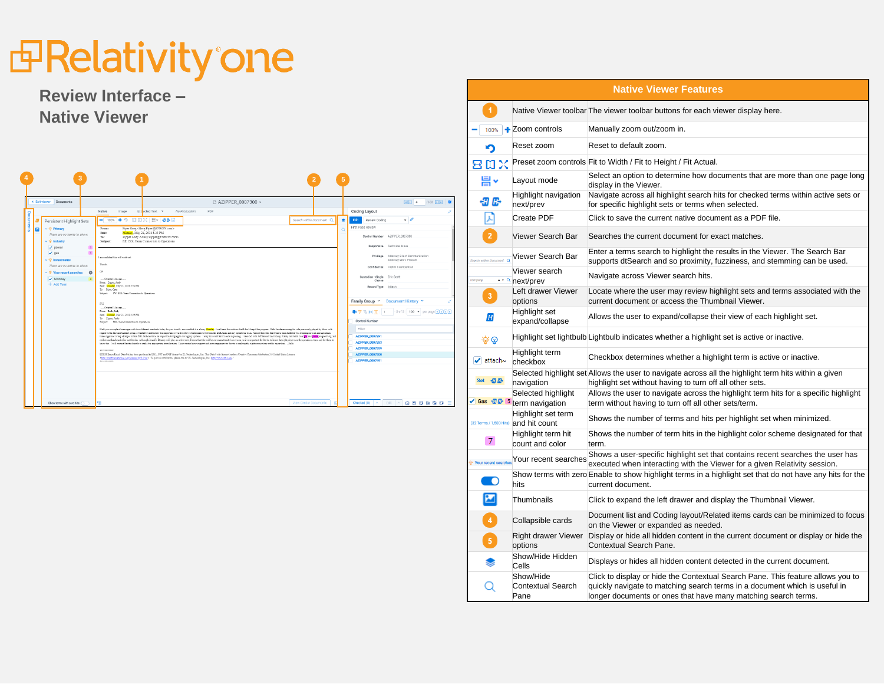## *<u>Independence</u>*

#### **Review Interface – Native Viewer**

| < Exit viewer<br>Documents                                                                                                                                                                                                                                                                                                         | □ AZIPPER 0007300 >                                                                                                                                                                                                                                                                                                                                                                                                                                                                                                                                                                                                                                                                                                                                                                                                                                                                                                                                                                                                                                                                                                                                                                                                                                                                                                                                                                                                                                                                                                                                                                                                                                                                                                                                                                                                                                                                                                                                                                                                                                                                                                                                                                                                                                                           | $R$ $1$ $4$<br>/633 国河 登                                                                                                                                                                                                                                                                                                                                                                                                                                                                                             |
|------------------------------------------------------------------------------------------------------------------------------------------------------------------------------------------------------------------------------------------------------------------------------------------------------------------------------------|-------------------------------------------------------------------------------------------------------------------------------------------------------------------------------------------------------------------------------------------------------------------------------------------------------------------------------------------------------------------------------------------------------------------------------------------------------------------------------------------------------------------------------------------------------------------------------------------------------------------------------------------------------------------------------------------------------------------------------------------------------------------------------------------------------------------------------------------------------------------------------------------------------------------------------------------------------------------------------------------------------------------------------------------------------------------------------------------------------------------------------------------------------------------------------------------------------------------------------------------------------------------------------------------------------------------------------------------------------------------------------------------------------------------------------------------------------------------------------------------------------------------------------------------------------------------------------------------------------------------------------------------------------------------------------------------------------------------------------------------------------------------------------------------------------------------------------------------------------------------------------------------------------------------------------------------------------------------------------------------------------------------------------------------------------------------------------------------------------------------------------------------------------------------------------------------------------------------------------------------------------------------------------|----------------------------------------------------------------------------------------------------------------------------------------------------------------------------------------------------------------------------------------------------------------------------------------------------------------------------------------------------------------------------------------------------------------------------------------------------------------------------------------------------------------------|
|                                                                                                                                                                                                                                                                                                                                    | Extracted Text v<br>No Production<br>Native<br>PDF<br>Image                                                                                                                                                                                                                                                                                                                                                                                                                                                                                                                                                                                                                                                                                                                                                                                                                                                                                                                                                                                                                                                                                                                                                                                                                                                                                                                                                                                                                                                                                                                                                                                                                                                                                                                                                                                                                                                                                                                                                                                                                                                                                                                                                                                                                   | <b>Coding Layout</b>                                                                                                                                                                                                                                                                                                                                                                                                                                                                                                 |
| Documents<br>Persistent Highlight Sets<br>$\vee$ $\ddot{\otimes}$ Primary<br>$\mathbf{z}$<br>There are no terms to show.<br>$\vee$ 49 Industry<br>$\sqrt{}$ power<br>$\sqrt{q}$<br>$\vee$ $\ddot{\mathbf{w}}$ investments<br>There are no terms to show.<br>$\vee$ $\ddot{\otimes}$ Your recent searches<br>Monday<br>$+$ Add Term | - 100% + 9 용미X 봄 경화담<br>Search within Document O<br>Piper Greg <greg piper@enron.com=""><br/>From:<br/>Monday, May 21, 2001 8:25 PM<br/>Sent:<br/>To:<br/>Zipper Andy <andy.zipper@enron.com><br/>Subject:<br/>RE: EOL Team Connection to Operations<br/><math>\mathbf{1}</math><br/><math>\mathbf{1}</math><br/>I am confident this will work out.<br/>Thanks.<br/>CP.<br/><math>\circ</math><br/>-Original Message-<br/>From: Zipper, Andy<br/>Seet: Masday, May 21, 2001 5:14 PM<br/>To: Piper Green<br/>Subject: FW: EOL Team Connection to Operations.<br/>FY?<br/>-Original Memorano-<br/>From: Deck, Sally<br/>Sept. Monday, May 21, 2001 5:39 954.<br/>To: Zipper, Justy<br/>Solvier: EOL Temp Connection to Operations<br/>Their years oraph of memory with two different ansideric tester for you to call - an eare that it is a boar Monday. I will send this note or that I don't forget the purpose. With facult answering the role previously played<br/>regard to the Product Control group, I wanted to underscore the importance of a free flow of information between the EOL team and my operations team. One of the roles that Sheri's team fallfilled was leaguing my risk and o<br/>teams apprised of any changes within EOL that can have an impact on bridging to our legacy systems. I may have met \$410ts once in passing. I checked with Jeff Gossett and Stacey White, risk leads over 199 and 100mg, respec<br/>neither one has beend of or met Savita. Although Teamine Demey mill play an active role, I know that she will be out on maternity leave soon, so it is important for Savita to know the right players on the operations team a<br/>learn har. I will contact Service Grantic to make the appropriate introductions. I just wanted your apport and encouragement for Savita in making the right connections within operations. - Sally<br/>-----------<br/>EDRM Enros Encal Data Set has been produced in EML, PST and NSF format by 2L Technologies, Inc. This Data Set is licensed under a Creative Commons Attribution 3.0 United States License<br/>sign Constitution on South in 3 (in ). To provide statistics, please cite to "ZL Technologies, Inc. (http://www.shi.com)"<br/>***********</andy.zipper@enron.com></greg> | Edit Review Coding<br>٠<br>First Pass Review<br>$\Omega$<br>Control Number AZIPPER 0007300<br>Responsive Technical Issue<br>Privilege Attorney Client Communication<br>Attorney Work Product<br>Confidential Highly Confidential<br>Custodian - Single Eric Scott<br>Choice<br>Record Type Attach<br>Family Group Y<br>Document History Y<br>■7%HTI 5of5 100 → perpage 200回<br>Control Number<br>Filter<br><b>AZIPPER 0007291</b><br><b>AZIPPER 0007293</b><br>AZIPPER.0007299<br>AZIPPER_0007300<br>AZIPPER_0007491 |
| Show terms with zero hits:                                                                                                                                                                                                                                                                                                         | View Similar Documents<br>53<br>ര                                                                                                                                                                                                                                                                                                                                                                                                                                                                                                                                                                                                                                                                                                                                                                                                                                                                                                                                                                                                                                                                                                                                                                                                                                                                                                                                                                                                                                                                                                                                                                                                                                                                                                                                                                                                                                                                                                                                                                                                                                                                                                                                                                                                                                             | 内民国国家区三<br>Checked (0)<br>Fdit<br>$\mathcal{A}_1$                                                                                                                                                                                                                                                                                                                                                                                                                                                                    |

|                                     |                                                             | <b>Native Viewer Features</b>                                                                                                                                                                                                   |
|-------------------------------------|-------------------------------------------------------------|---------------------------------------------------------------------------------------------------------------------------------------------------------------------------------------------------------------------------------|
| $\blacktriangleleft$                |                                                             | Native Viewer toolbar The viewer toolbar buttons for each viewer display here.                                                                                                                                                  |
|                                     | 100% + Zoom controls                                        | Manually zoom out/zoom in.                                                                                                                                                                                                      |
| ּפ                                  | Reset zoom                                                  | Reset to default zoom.                                                                                                                                                                                                          |
| 吕田乂                                 |                                                             | Preset zoom controls Fit to Width / Fit to Height / Fit Actual.                                                                                                                                                                 |
| 븜×                                  | Layout mode                                                 | Select an option to determine how documents that are more than one page long<br>display in the Viewer.                                                                                                                          |
| 知卧                                  | Highlight navigation<br>next/prev                           | Navigate across all highlight search hits for checked terms within active sets or<br>for specific highlight sets or terms when selected.                                                                                        |
| Μ                                   | <b>Create PDF</b>                                           | Click to save the current native document as a PDF file.                                                                                                                                                                        |
| $\bar{\bf 2}$                       | Viewer Search Bar                                           | Searches the current document for exact matches.                                                                                                                                                                                |
|                                     | Search mithin Document Q Viewer Search Bar                  | Enter a terms search to highlight the results in the Viewer. The Search Bar<br>supports dtSearch and so proximity, fuzziness, and stemming can be used.                                                                         |
| pompany                             | Viewer search<br>** a next/prev                             | Navigate across Viewer search hits.                                                                                                                                                                                             |
| $\bf 3$                             | Left drawer Viewer<br>options                               | Locate where the user may review highlight sets and terms associated with the<br>current document or access the Thumbnail Viewer.                                                                                               |
| H                                   | Highlight set<br>expand/collapse                            | Allows the user to expand/collapse their view of each highlight set.                                                                                                                                                            |
| ବ ଡ                                 |                                                             | Highlight set lightbulb Lightbulb indicates whether a highlight set is active or inactive.                                                                                                                                      |
| $\blacktriangleright$ attach $\sim$ | Highlight term<br>checkbox                                  | Checkbox determines whether a highlight term is active or inactive.                                                                                                                                                             |
| Set 切卧                              | navigation                                                  | Selected highlight set Allows the user to navigate across all the highlight term hits within a given<br>highlight set without having to turn off all other sets.                                                                |
| ✔ Gas 切卧 5                          | Selected highlight<br>term navigation                       | Allows the user to navigate across the highlight term hits for a specific highlight<br>term without having to turn off all other sets/term.                                                                                     |
|                                     | Highlight set term<br>(32 Terms / 1,500 Hits) and hit count | Shows the number of terms and hits per highlight set when minimized.                                                                                                                                                            |
| $\overline{7}$                      | Highlight term hit<br>count and color                       | Shows the number of term hits in the highlight color scheme designated for that<br>term.                                                                                                                                        |
|                                     | Your recent searches Your recent searches                   | Shows a user-specific highlight set that contains recent searches the user has<br>executed when interacting with the Viewer for a given Relativity session.                                                                     |
| <b>O</b>                            | hits                                                        | Show terms with zero Enable to show highlight terms in a highlight set that do not have any hits for the<br>current document.                                                                                                   |
| ⊠                                   | Thumbnails                                                  | Click to expand the left drawer and display the Thumbnail Viewer.                                                                                                                                                               |
| $\sqrt{4}$                          | Collapsible cards                                           | Document list and Coding layout/Related items cards can be minimized to focus<br>on the Viewer or expanded as needed.                                                                                                           |
| $\boxed{5}$                         | Right drawer Viewer<br>options                              | Display or hide all hidden content in the current document or display or hide the<br>Contextual Search Pane.                                                                                                                    |
| ❤                                   | Show/Hide Hidden<br>Cells                                   | Displays or hides all hidden content detected in the current document.                                                                                                                                                          |
| Q                                   | Show/Hide<br><b>Contextual Search</b><br>Pane               | Click to display or hide the Contextual Search Pane. This feature allows you to<br>quickly navigate to matching search terms in a document which is useful in<br>longer documents or ones that have many matching search terms. |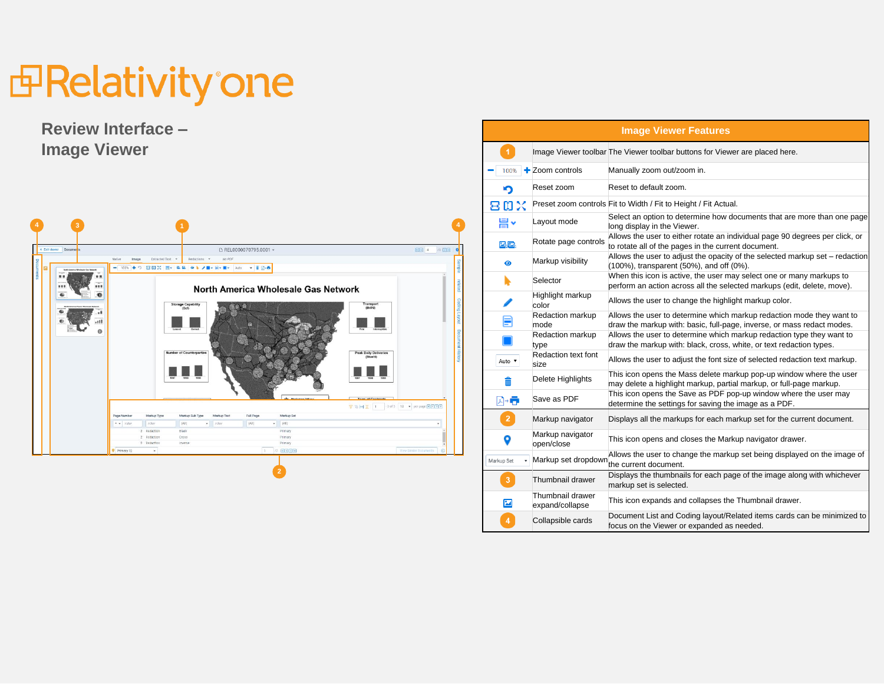## *<u>BRelativity'one</u>*

#### **Review Interface – Image Viewer**



| <b>Image Viewer Features</b> |                                     |                                                                                                                                                 |  |  |  |  |
|------------------------------|-------------------------------------|-------------------------------------------------------------------------------------------------------------------------------------------------|--|--|--|--|
| $\blacktriangleleft$         |                                     | Image Viewer toolbar The Viewer toolbar buttons for Viewer are placed here.                                                                     |  |  |  |  |
| 100%                         | $\pm$ Zoom controls                 | Manually zoom out/zoom in.                                                                                                                      |  |  |  |  |
|                              | Reset zoom                          | Reset to default zoom.                                                                                                                          |  |  |  |  |
| 吕田乂                          |                                     | Preset zoom controls Fit to Width / Fit to Height / Fit Actual.                                                                                 |  |  |  |  |
| 븜                            | Layout mode                         | Select an option to determine how documents that are more than one page<br>long display in the Viewer.                                          |  |  |  |  |
| 뜨고.                          | Rotate page controls                | Allows the user to either rotate an individual page 90 degrees per click, or<br>to rotate all of the pages in the current document.             |  |  |  |  |
| ◉                            | Markup visibility                   | Allows the user to adjust the opacity of the selected markup set - redaction<br>(100%), transparent (50%), and off (0%).                        |  |  |  |  |
|                              | Selector                            | When this icon is active, the user may select one or many markups to<br>perform an action across all the selected markups (edit, delete, move). |  |  |  |  |
|                              | Highlight markup<br>color           | Allows the user to change the highlight markup color.                                                                                           |  |  |  |  |
| ≣                            | Redaction markup<br>mode            | Allows the user to determine which markup redaction mode they want to<br>draw the markup with: basic, full-page, inverse, or mass redact modes. |  |  |  |  |
|                              | Redaction markup<br>type            | Allows the user to determine which markup redaction type they want to<br>draw the markup with: black, cross, white, or text redaction types.    |  |  |  |  |
| Auto v                       | Redaction text font<br>size         | Allows the user to adjust the font size of selected redaction text markup.                                                                      |  |  |  |  |
|                              | Delete Highlights                   | This icon opens the Mass delete markup pop-up window where the user<br>may delete a highlight markup, partial markup, or full-page markup.      |  |  |  |  |
| 利→肩                          | Save as PDF                         | This icon opens the Save as PDF pop-up window where the user may<br>determine the settings for saving the image as a PDF.                       |  |  |  |  |
| $\overline{2}$               | Markup navigator                    | Displays all the markups for each markup set for the current document.                                                                          |  |  |  |  |
| 9                            | Markup navigator<br>open/close      | This icon opens and closes the Markup navigator drawer.                                                                                         |  |  |  |  |
| Markup Set                   | Markup set dropdown                 | Allows the user to change the markup set being displayed on the image of<br>the current document.                                               |  |  |  |  |
| 3                            | Thumbnail drawer                    | Displays the thumbnails for each page of the image along with whichever<br>markup set is selected.                                              |  |  |  |  |
| Z                            | Thumbnail drawer<br>expand/collapse | This icon expands and collapses the Thumbnail drawer.                                                                                           |  |  |  |  |
| $\overline{4}$               | Collapsible cards                   | Document List and Coding layout/Related items cards can be minimized to<br>focus on the Viewer or expanded as needed.                           |  |  |  |  |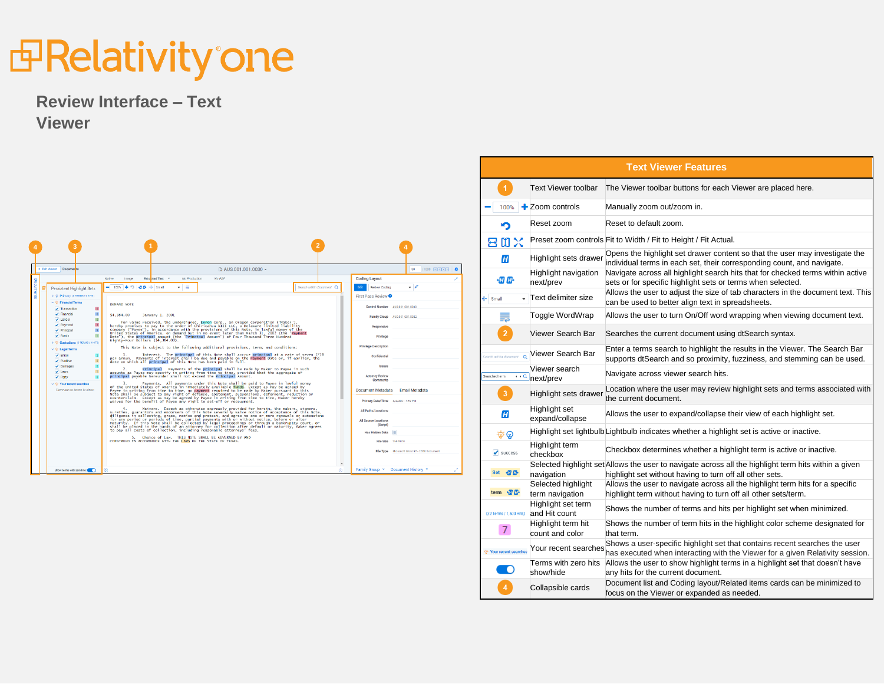### *d* Relativity one

#### **Review Interface – Text Viewer**

|                                                                              |                                            |                                                                                                                                                                                                                                                                                                                                                                                                                                                                                                                                                                                                                                                                                                                                                                                                                      |                          |                                                                                  |                                  |                                          | <b>Text Viewer Features</b>                                                                                                                                      |
|------------------------------------------------------------------------------|--------------------------------------------|----------------------------------------------------------------------------------------------------------------------------------------------------------------------------------------------------------------------------------------------------------------------------------------------------------------------------------------------------------------------------------------------------------------------------------------------------------------------------------------------------------------------------------------------------------------------------------------------------------------------------------------------------------------------------------------------------------------------------------------------------------------------------------------------------------------------|--------------------------|----------------------------------------------------------------------------------|----------------------------------|------------------------------------------|------------------------------------------------------------------------------------------------------------------------------------------------------------------|
|                                                                              |                                            |                                                                                                                                                                                                                                                                                                                                                                                                                                                                                                                                                                                                                                                                                                                                                                                                                      |                          |                                                                                  |                                  | <b>Text Viewer toolbar</b>               | The Viewer toolbar buttons for each Viewer are placed here.                                                                                                      |
|                                                                              |                                            |                                                                                                                                                                                                                                                                                                                                                                                                                                                                                                                                                                                                                                                                                                                                                                                                                      |                          |                                                                                  | 100%<br>═                        | $\pm$ Zoom controls                      | Manually zoom out/zoom in.                                                                                                                                       |
|                                                                              |                                            |                                                                                                                                                                                                                                                                                                                                                                                                                                                                                                                                                                                                                                                                                                                                                                                                                      |                          |                                                                                  | ≏                                | Reset zoom                               | Reset to default zoom.                                                                                                                                           |
|                                                                              |                                            |                                                                                                                                                                                                                                                                                                                                                                                                                                                                                                                                                                                                                                                                                                                                                                                                                      |                          |                                                                                  | 冒口义                              |                                          | Preset zoom controls Fit to Width / Fit to Height / Fit Actual.                                                                                                  |
|                                                                              |                                            |                                                                                                                                                                                                                                                                                                                                                                                                                                                                                                                                                                                                                                                                                                                                                                                                                      |                          |                                                                                  | H                                | Highlight sets drawer                    | Opens the highlight set drawer content so that the user may investigate the<br>individual terms in each set, their corresponding count, and navigate.            |
| < Exit viewer Document                                                       | Native<br>Image                            | <b>D</b> AUS.001.001.0030 ▼<br>No PDF<br>No Production<br><b>Fytra</b> cted Text                                                                                                                                                                                                                                                                                                                                                                                                                                                                                                                                                                                                                                                                                                                                     |                          | 30 /1000 図 3 [3]<br><b>Coding Layout</b>                                         | 切卧                               | <b>Highlight navigation</b><br>next/prev | Navigate across all highlight search hits that for checked terms within active<br>sets or for specific highlight sets or terms when selected.                    |
| Persistent Highlight Sets<br>C Primary @ TERMS / 0 HITS<br>C Financial Terms | $-$ 100% $+$ 0 47 & + Small<br>DEMAND NOTE | $\mathbf{v}$ .                                                                                                                                                                                                                                                                                                                                                                                                                                                                                                                                                                                                                                                                                                                                                                                                       | Search within Document Q | Edit Review Coding<br>$\cdot$ 0<br>First Pass Review                             | Small                            | Text delimiter size                      | Allows the user to adjust the size of tab characters in the document text. This<br>can be used to better align text in spreadsheets.                             |
| $\sqrt{}$ Transaction<br>$\angle$ Financial<br>$L$ ender                     | \$4,384,00                                 | January 1, 2001                                                                                                                                                                                                                                                                                                                                                                                                                                                                                                                                                                                                                                                                                                                                                                                                      |                          | Control Number<br>AUS 001,001,003<br><b>Family Group</b><br>AUS.001.001.002      | ٣.                               | Toggle WordWrap                          | Allows the user to turn On/Off word wrapping when viewing document text.                                                                                         |
| $\sqrt{P}$ Payment<br>$\blacktriangleright$ Principal<br>$J$ Funds           |                                            | For value received, the undersigned, Enron Corp., an Oregon corporation ("Naker"),<br>hereby promises to pay to the order of Chiricahua XIII LLC, a Delaware limited liability<br>company ("Payee"), in accordance with the provisio<br>United States of America, on demand but in no event later than March 31, 2002 (the "Payment<br>Date"), the principal amount (the "Principal Amount") of Four Thousand Three Hundred<br>Eighty-Four Dollars (\$4,384,00).<br>This Note is subject to the following additional provisions, terms and conditions:<br>Interest. The principal of this Note shall accrue principal at a rate of seven (7)%<br>per annum. Payments of interest shall be due and payable on the Payment Date or, if earlier, the<br>date on which all principal of this Note has been paid in full. |                          | Privilege                                                                        | $\overline{2}$                   | Viewer Search Bar                        | Searches the current document using dtSearch syntax.                                                                                                             |
| <b>Legal Term</b><br>$\angle$ Enron<br>$\mathcal I$ Punitive                 |                                            |                                                                                                                                                                                                                                                                                                                                                                                                                                                                                                                                                                                                                                                                                                                                                                                                                      |                          | <b>Privilege Description</b><br>Confidential                                     | earch within documen             | Viewer Search Bar                        | Enter a terms search to highlight the results in the Viewer. The Search Bar<br>supports dt Search and so proximity, fuzziness, and stemming can be used.         |
| $\n  Damages\n$<br>$\sqrt{Part}$                                             |                                            | Principal. Payments of the principal shall be made by Maker to Payee in such<br>anounts as Payee may specify in writing from time to time, provided that the aggregate of<br>principal payable hereunder shall not exceed the Principal Amount.                                                                                                                                                                                                                                                                                                                                                                                                                                                                                                                                                                      |                          | Issuer<br><b>Attorney Review</b><br>Comments                                     | $\rightarrow$ C<br>Searched term | Viewer search<br>next/prev               | Navigate across viewer search hits.                                                                                                                              |
| Your recent searcher<br>There are no terms to show                           |                                            | 3. Payments. All payments under this Note shall be paid to Payee in lawful money<br>of the United States of America in immediately available funds. Except as may be agreed by<br>Payee in writing from time to time, no payment required to be made by Maker pursuant to this<br>Note shall be subject to any right of defense, abatement, suspensions, deferment, reduction or<br>counterclaim. Except as may be agreed by Payee in writing from time to time, Maker hereby<br>waives for the benefit of Payee any right to set-off or recoupment.                                                                                                                                                                                                                                                                 |                          | Email Metadata<br><b>Document Metadata</b><br>Primary Date/Time 8/2/2001 7:59 PM | 3                                | Highlight sets drawer                    | Location where the user may review highlight sets and terms associated with<br>the current document.                                                             |
|                                                                              |                                            | Waivers. Except as otherwise expressly provided for herein, the makers, signers,<br>sureties, quarantors and endorsers of this Note severally waive notice of acceptance of this Note,<br>diligence in collecting, grace, notice and protest, and agree to one or more renewals or extensions<br>of the anti-state of the partial payments with or without notice, before or after<br>maturity. If this Note shall be collected by legal proceedings or through a bankruptcy court, or<br>shall be placed in the hands of an attorney                                                                                                                                                                                                                                                                                |                          | All Paths/Locations<br><b>All Source Locations</b>                               | H                                | <b>Highlight set</b><br>expand/collapse  | Allows the user to expand/collapse their view of each highlight set.                                                                                             |
|                                                                              |                                            | to pay all costs of collection, including reasonable attorneys' fees.<br>5. Choice of Law. THIS NOTE SHALL BE GOVERNED BY AND CONSTRUED IN ACCORDANCE WITH THE LAWS OF THE STATE OF TEXAS.                                                                                                                                                                                                                                                                                                                                                                                                                                                                                                                                                                                                                           |                          | (Script)<br>Has Hidden Data                                                      | ିଡ଼ ଡ                            |                                          | Highlight set lightbulb Lightbulb indicates whether a highlight set is active or inactive.                                                                       |
|                                                                              |                                            |                                                                                                                                                                                                                                                                                                                                                                                                                                                                                                                                                                                                                                                                                                                                                                                                                      |                          | File Size<br>File Type Microsoft Word 97 - 2003 Document                         | $\blacktriangleright$ success    | Highlight term<br>checkbox               | Checkbox determines whether a highlight term is active or inactive.                                                                                              |
| Show terms with zero hits:                                                   |                                            |                                                                                                                                                                                                                                                                                                                                                                                                                                                                                                                                                                                                                                                                                                                                                                                                                      |                          | Family Group Y Document History                                                  | Set 切卧                           | navigation                               | Selected highlight set Allows the user to navigate across all the highlight term hits within a given<br>highlight set without having to turn off all other sets. |
|                                                                              |                                            |                                                                                                                                                                                                                                                                                                                                                                                                                                                                                                                                                                                                                                                                                                                                                                                                                      |                          |                                                                                  | term # E                         | Selected highlight<br>term navigation    | Allows the user to navigate across all the highlight term hits for a specific<br>highlight term without having to turn off all other sets/term.                  |
|                                                                              |                                            |                                                                                                                                                                                                                                                                                                                                                                                                                                                                                                                                                                                                                                                                                                                                                                                                                      |                          |                                                                                  | (32 Terms / 1,500 Hits)          | Highlight set term<br>and Hit count      | Shows the number of terms and hits per highlight set when minimized.                                                                                             |
|                                                                              |                                            |                                                                                                                                                                                                                                                                                                                                                                                                                                                                                                                                                                                                                                                                                                                                                                                                                      |                          |                                                                                  | $\overline{7}$                   | Highlight term hit<br>count and color    | Shows the number of term hits in the highlight color scheme designated for<br>that term.                                                                         |

show/hide

Your recent searche ಂ

Shows a user-specific highlight set that contains recent searches the user<br>Your recent searches has avacuted when interacting with the Viewer for a given Belativity assert

Terms with zero hits Allows the user to show highlight terms in a highlight set that doesn't have

Collapsible cards Document list and Coding layout/Related items cards can be minimized to focus on the Viewer or expanded as needed.

any hits for the current document.

has executed when interacting with the Viewer for a given Relativity session .